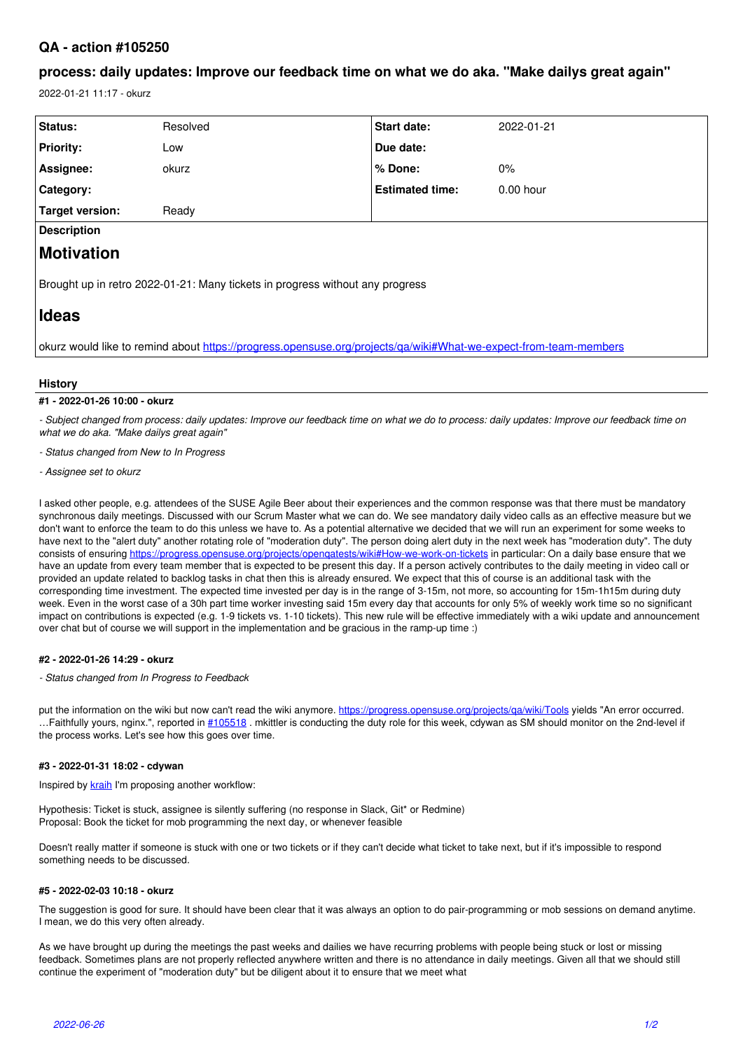# **QA - action #105250**

# **process: daily updates: Improve our feedback time on what we do aka. "Make dailys great again"**

2022-01-21 11:17 - okurz

| Status:                                                                                                          | Resolved | Start date:            | 2022-01-21  |
|------------------------------------------------------------------------------------------------------------------|----------|------------------------|-------------|
| <b>Priority:</b>                                                                                                 | Low      | Due date:              |             |
| Assignee:                                                                                                        | okurz    | % Done:                | $0\%$       |
| Category:                                                                                                        |          | <b>Estimated time:</b> | $0.00$ hour |
| <b>Target version:</b>                                                                                           | Ready    |                        |             |
| <b>Description</b>                                                                                               |          |                        |             |
| <b>Motivation</b>                                                                                                |          |                        |             |
| Brought up in retro 2022-01-21: Many tickets in progress without any progress                                    |          |                        |             |
| <b>Ideas</b>                                                                                                     |          |                        |             |
| okurz would like to remind about https://progress.opensuse.org/projects/ga/wiki#What-we-expect-from-team-members |          |                        |             |

#### **History**

## **#1 - 2022-01-26 10:00 - okurz**

*- Subject changed from process: daily updates: Improve our feedback time on what we do to process: daily updates: Improve our feedback time on what we do aka. "Make dailys great again"*

*- Status changed from New to In Progress*

*- Assignee set to okurz*

I asked other people, e.g. attendees of the SUSE Agile Beer about their experiences and the common response was that there must be mandatory synchronous daily meetings. Discussed with our Scrum Master what we can do. We see mandatory daily video calls as an effective measure but we don't want to enforce the team to do this unless we have to. As a potential alternative we decided that we will run an experiment for some weeks to have next to the "alert duty" another rotating role of "moderation duty". The person doing alert duty in the next week has "moderation duty". The duty consists of ensuring<https://progress.opensuse.org/projects/openqatests/wiki#How-we-work-on-tickets> in particular: On a daily base ensure that we have an update from every team member that is expected to be present this day. If a person actively contributes to the daily meeting in video call or provided an update related to backlog tasks in chat then this is already ensured. We expect that this of course is an additional task with the corresponding time investment. The expected time invested per day is in the range of 3-15m, not more, so accounting for 15m-1h15m during duty week. Even in the worst case of a 30h part time worker investing said 15m every day that accounts for only 5% of weekly work time so no significant impact on contributions is expected (e.g. 1-9 tickets vs. 1-10 tickets). This new rule will be effective immediately with a wiki update and announcement over chat but of course we will support in the implementation and be gracious in the ramp-up time :)

## **#2 - 2022-01-26 14:29 - okurz**

*- Status changed from In Progress to Feedback*

put the information on the wiki but now can't read the wiki anymore.<https://progress.opensuse.org/projects/qa/wiki/Tools> yields "An error occurred. ...Faithfully yours, nginx.", reported in [#105518](https://progress.opensuse.org/issues/105518) . mkittler is conducting the duty role for this week, cdywan as SM should monitor on the 2nd-level if the process works. Let's see how this goes over time.

## **#3 - 2022-01-31 18:02 - cdywan**

Inspired by [kraih](progress.opensuse.org/users/23018) I'm proposing another workflow:

Hypothesis: Ticket is stuck, assignee is silently suffering (no response in Slack, Git\* or Redmine) Proposal: Book the ticket for mob programming the next day, or whenever feasible

Doesn't really matter if someone is stuck with one or two tickets or if they can't decide what ticket to take next, but if it's impossible to respond something needs to be discussed.

#### **#5 - 2022-02-03 10:18 - okurz**

The suggestion is good for sure. It should have been clear that it was always an option to do pair-programming or mob sessions on demand anytime. I mean, we do this very often already.

As we have brought up during the meetings the past weeks and dailies we have recurring problems with people being stuck or lost or missing feedback. Sometimes plans are not properly reflected anywhere written and there is no attendance in daily meetings. Given all that we should still continue the experiment of "moderation duty" but be diligent about it to ensure that we meet what